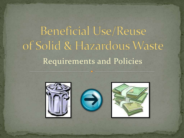# **Beneficial Use/Reuse** of Solid & Hazardous Waste Requirements and Policies

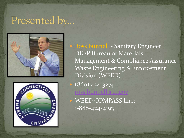#### Presented by...





• Ross Bunnell - Sanitary Engineer DEEP Bureau of Materials Management & Compliance Assurance Waste Engineering & Enforcement Division (WEED) (860) 424-3274 oss.bunnell@c WEED COMPASS line:

1-888-424-4193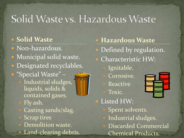## Solid Waste vs. Hazardous Waste

#### **Solid Waste**

- Non-hazardous.
- Municipal solid waste.
- Designated recyclables.
- "Special Waste" Industrial sludges,
	- liquids, solids & contained gases.
	- Fly ash.
	- Casting sands/slag.
	- Scrap tires
	- Demolition waste. Land-clearing debris.

#### **Hazardous Waste**

- Defined by regulation.
- Characteristic HW:
	- Ignitable.
	- Corrosive.
	- **Reactive**
	- Toxic.



 Listed HW: Spent solvents. Industrial sludges. Discarded Commercial Chemical Products.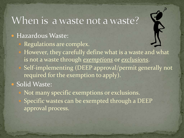#### When is a waste not a waste?

#### Hazardous Waste:

- Regulations are complex.
- However, they carefully define what is a waste and what is not a waste through *exemptions* or *exclusions*.
- Self-implementing (DEEP approval/permit generally not required for the exemption to apply).

#### • Solid Waste:

 Not many specific exemptions or exclusions. Specific wastes can be exempted through a DEEP approval process.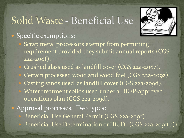## Solid Waste - Beneficial Use



#### • Specific exemptions:

- Scrap metal processors exempt from permitting requirement provided they submit annual reports (CGS 22a-208f).
- Crushed glass used as landfill cover (CGS 22a-208z). Certain processed wood and wood fuel (CGS 22a-209a). Casting sands used as landfill cover (CGS 22a-209d). Water treatment solids used under a DEEP-approved operations plan (CGS 22a-209d).
- Approval processes. Two types:
	- Beneficial Use General Permit (CGS 22a-209f).
	- Beneficial Use Determination or "BUD" (CGS 22a-209f(b)).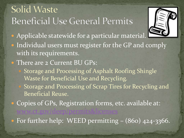### **Solid Waste Beneficial Use General Permits**



- **Applicable statewide for a particular material.**
- Individual users must register for the GP and comply with its requirements.
- There are 2 Current BU GPs:
	- Storage and Processing of Asphalt Roofing Shingle Waste for Beneficial Use and Recycling.
	- Storage and Processing of Scrap Tires for Recycling and Beneficial Reuse.
	- Copies of GPs, Registration forms, etc. available at: [www.ct.gov/deep/permits&licenses](http://www.ct.gov/deep/permits&licenses)
- For further help: WEED permitting (860) 424-3366.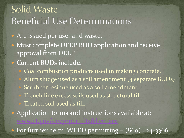#### **Solid Waste Beneficial Use Determinations**

- Are issued per user and waste.
- Must complete DEEP BUD application and receive approval from DEEP.
- Current BUDs include:
	- Coal combustion products used in making concrete. Alum sludge used as a soil amendment (4 separate BUDs). Scrubber residue used as a soil amendment.
	- Trench line excess soils used as structural fill.
	- Treated soil used as fill.
- Application forms and instructions available at: [www.ct.gov/deep/permits&licenses](http://www.ct.gov/deep/permits&licenses)

• For further help: WEED permitting – (860) 424-3366.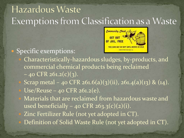### Hazardous Waste Exemptions from Classification as a Waste



#### • Specific exemptions:

 Characteristically-hazardous sludges, by-products, and commercial chemical products being reclaimed  $-$  40 CFR 261.2(c)(3). Scrap metal – 40 CFR 261.6(a)(3)(ii), 261.4(a)(13) & (14). Use/Reuse – 40 CFR 261.2(e). Materials that are reclaimed from hazardous waste and used beneficially – 40 CFR 263.3(c)(2)(i). Zinc Fertilizer Rule (not yet adopted in CT).

Definition of Solid Waste Rule (not yet adopted in CT).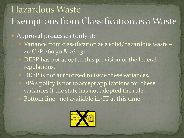#### Hazardous Waste Exemptions from Classification as a Waste • Approval processes (only 1): Variance from classification as a solid/hazardous waste – 40 CFR 260.30 & 260.31. DEEP has not adopted this provision of the federal regulations. DEEP is not authorized to issue these variances. EPA's policy is not to accept applications for these variances if the state has not adopted the rule.

Bottom line: not available in CT at this time.

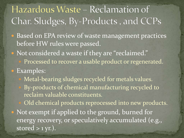### Hazardous Waste – Reclamation of Char. Sludges, By-Products, and CCPs

• Based on EPA review of waste management practices before HW rules were passed.

Not considered a waste if they are "reclaimed."

Processed to recover a usable product or regenerated.

• Examples:

Metal-bearing sludges recycled for metals values. By-products of chemical manufacturing recycled to reclaim valuable constituents.

Old chemical products reprocessed into new products.

• Not exempt if applied to the ground, burned for energy recovery, or speculatively accumulated (e.g., stored  $>$  1 yr.).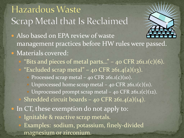### Hazardous Waste Scrap Metal that Is Reclaimed

- 
- Also based on EPA review of waste management practices before HW rules were passed.
- **· Materials covered:** 
	- "Bits and pieces of metal parts..."  $-$  40 CFR 261.1(c)(6).
	- "Excluded scrap metal" 40 CFR 261.4(a)(13).
		- Processed scrap metal  $40$  CFR  $261.1(c)(10)$ .
		- Unprocessed home scrap metal  $-$  40 CFR 261.1(c)(11).
		- Unprocessed prompt scrap metal  $-$  40 CFR 261.1(c)(12).
	- Shredded circuit boards 40 CFR  $261.4(a)(14)$ .
- In CT, these exemption do not apply to:
	- Ignitable & reactive scrap metals.
	- Examples: sodium, potassium, finely-divided magnesium or zirconium.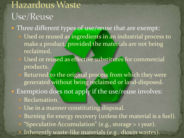### Hazardous Waste Use/Reuse

• Three different types of use/reuse that are exempt: Used or reused as ingredients in an industrial process to make a product, provided the materials are not being

reclaimed.

- Used or reused as effective substitutes for commercial products.
- Returned to the original process from which they were generated without being reclaimed or land-disposed.

• Exemption does not apply if the use/reuse involves:

Reclamation.

Use in a manner constituting disposal.

Burning for energy recovery (unless the material is a fuel). "Speculative Accumulation" (e.g., storage > 1 year). Inherently waste-like materials (e.g., dioxin wastes).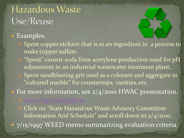### Hazardous Waste Use/Reuse

[www.ct.gov/deep/hwac](http://www.ct.gov/deep/hwac)

#### • Examples:

- Spent copper etchant that is as an ingredient in a process to make copper sulfate.
- "Spent" caustic soda from acetylene production used for pH adjustment in an industrial wastewater treatment plant. Spent sandblasting grit used as a colorant and aggregate in "cultured marble" for countertops, vanities, etc.

• For more information, see 2/4/2010 HWAC presentation.

 Click on "State Hazardous Waste Advisory Committee Information And Schedule" and scroll down to 2/4/2010. • 7/15/1997 WEED memo summarizing evaluation criteria.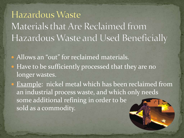**Hazardous Waste** Materials that Are Reclaimed from Hazardous Waste and Used Beneficially

Allows an "out" for reclaimed materials.

• Have to be sufficiently processed that they are no longer wastes.

• Example: nickel metal which has been reclaimed from an industrial process waste, and which only needs some additional refining in order to be sold as a commodity.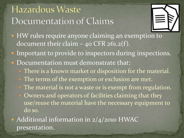### Hazardous Waste Documentation of Claims



- HW rules require anyone claiming an exemption to document their claim  $-$  40 CFR 261.2(f).
- Important to provide to inspectors during inspections.
- Documentation must demonstrate that:
	- There is a known market or disposition for the material. The terms of the exemption or exclusion are met. The material is not a waste or is exempt from regulation. Owners and operators of facilities claiming that they use/reuse the material have the necessary equipment to do so.

• Additional information in 2/4/2010 HWAC presentation.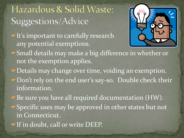### Hazardous & Solid Waste: Suggestions/Advice

**It's important to carefully research** any potential exemptions.



- Small details may make a big difference in whether or not the exemption applies.
- Details may change over time, voiding an exemption. Don't rely on the end user's say-so. Double check their information.
- Be sure you have all required documentation (HW).
- Specific uses may be approved in other states but not in Connecticut.
- If in doubt, call or write DEEP.